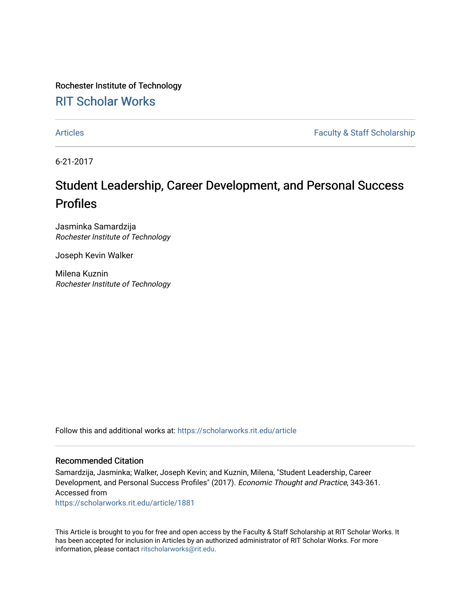Rochester Institute of Technology [RIT Scholar Works](https://scholarworks.rit.edu/)

[Articles](https://scholarworks.rit.edu/article) **Faculty & Staff Scholarship** 

6-21-2017

# Student Leadership, Career Development, and Personal Success Profiles

Jasminka Samardzija Rochester Institute of Technology

Joseph Kevin Walker

Milena Kuznin Rochester Institute of Technology

Follow this and additional works at: [https://scholarworks.rit.edu/article](https://scholarworks.rit.edu/article?utm_source=scholarworks.rit.edu%2Farticle%2F1881&utm_medium=PDF&utm_campaign=PDFCoverPages) 

### Recommended Citation

Samardzija, Jasminka; Walker, Joseph Kevin; and Kuznin, Milena, "Student Leadership, Career Development, and Personal Success Profiles" (2017). Economic Thought and Practice, 343-361. Accessed from

[https://scholarworks.rit.edu/article/1881](https://scholarworks.rit.edu/article/1881?utm_source=scholarworks.rit.edu%2Farticle%2F1881&utm_medium=PDF&utm_campaign=PDFCoverPages)

This Article is brought to you for free and open access by the Faculty & Staff Scholarship at RIT Scholar Works. It has been accepted for inclusion in Articles by an authorized administrator of RIT Scholar Works. For more information, please contact [ritscholarworks@rit.edu.](mailto:ritscholarworks@rit.edu)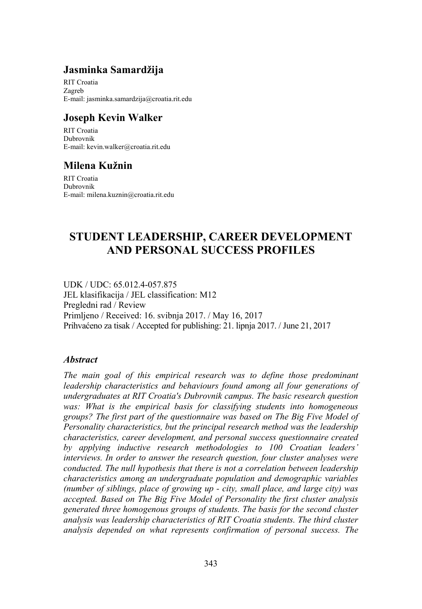### **Jasminka Samardžija**

RIT Croatia Zagreb E-mail: jasminka.samardzija@croatia.rit.edu

### **Joseph Kevin Walker**

RIT Croatia Dubrovnik E-mail: kevin.walker@croatia.rit.edu

### **Milena Kužnin**

RIT Croatia Dubrovnik E-mail: milena.kuznin@croatia.rit.edu

## **STUDENT LEADERSHIP, CAREER DEVELOPMENT AND PERSONAL SUCCESS PROFILES**

UDK / UDC: 65.012.4-057.875 JEL klasifikacija / JEL classification: M12 Pregledni rad / Review Primljeno / Received: 16. svibnja 2017. / May 16, 2017 Prihvaćeno za tisak / Accepted for publishing: 21. lipnja 2017. / June 21, 2017

#### *Abstract*

*The main goal of this empirical research was to define those predominant leadership characteristics and behaviours found among all four generations of undergraduates at RIT Croatia's Dubrovnik campus. The basic research question was: What is the empirical basis for classifying students into homogeneous groups? The first part of the questionnaire was based on The Big Five Model of Personality characteristics, but the principal research method was the leadership characteristics, career development, and personal success questionnaire created by applying inductive research methodologies to 100 Croatian leaders' interviews. In order to answer the research question, four cluster analyses were conducted. The null hypothesis that there is not a correlation between leadership characteristics among an undergraduate population and demographic variables (number of siblings, place of growing up - city, small place, and large city) was accepted. Based on The Big Five Model of Personality the first cluster analysis generated three homogenous groups of students. The basis for the second cluster analysis was leadership characteristics of RIT Croatia students. The third cluster analysis depended on what represents confirmation of personal success. The*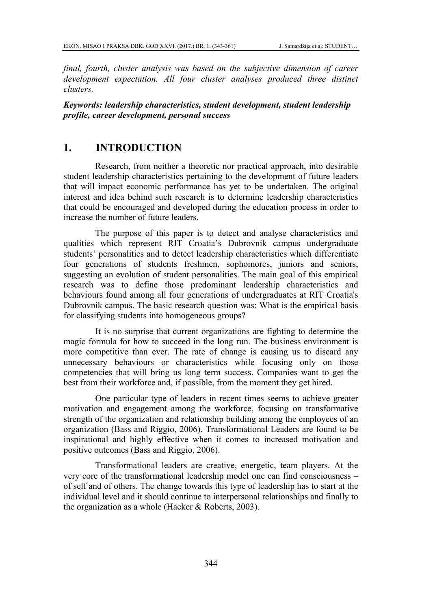*final, fourth, cluster analysis was based on the subjective dimension of career development expectation. All four cluster analyses produced three distinct clusters.* 

#### *Keywords: leadership characteristics, student development, student leadership profile, career development, personal success*

### **1. INTRODUCTION**

Research, from neither a theoretic nor practical approach, into desirable student leadership characteristics pertaining to the development of future leaders that will impact economic performance has yet to be undertaken. The original interest and idea behind such research is to determine leadership characteristics that could be encouraged and developed during the education process in order to increase the number of future leaders.

The purpose of this paper is to detect and analyse characteristics and qualities which represent RIT Croatia's Dubrovnik campus undergraduate students' personalities and to detect leadership characteristics which differentiate four generations of students freshmen, sophomores, juniors and seniors, suggesting an evolution of student personalities. The main goal of this empirical research was to define those predominant leadership characteristics and behaviours found among all four generations of undergraduates at RIT Croatia's Dubrovnik campus. The basic research question was: What is the empirical basis for classifying students into homogeneous groups?

It is no surprise that current organizations are fighting to determine the magic formula for how to succeed in the long run. The business environment is more competitive than ever. The rate of change is causing us to discard any unnecessary behaviours or characteristics while focusing only on those competencies that will bring us long term success. Companies want to get the best from their workforce and, if possible, from the moment they get hired.

One particular type of leaders in recent times seems to achieve greater motivation and engagement among the workforce, focusing on transformative strength of the organization and relationship building among the employees of an organization (Bass and Riggio, 2006). Transformational Leaders are found to be inspirational and highly effective when it comes to increased motivation and positive outcomes (Bass and Riggio, 2006).

Transformational leaders are creative, energetic, team players. At the very core of the transformational leadership model one can find consciousness – of self and of others. The change towards this type of leadership has to start at the individual level and it should continue to interpersonal relationships and finally to the organization as a whole (Hacker & Roberts, 2003).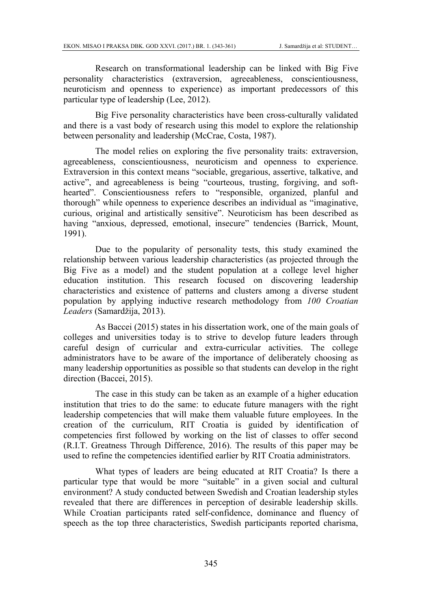Research on transformational leadership can be linked with Big Five personality characteristics (extraversion, agreeableness, conscientiousness, neuroticism and openness to experience) as important predecessors of this particular type of leadership (Lee, 2012).

Big Five personality characteristics have been cross-culturally validated and there is a vast body of research using this model to explore the relationship between personality and leadership (McCrae, Costa, 1987).

The model relies on exploring the five personality traits: extraversion, agreeableness, conscientiousness, neuroticism and openness to experience. Extraversion in this context means "sociable, gregarious, assertive, talkative, and active", and agreeableness is being "courteous, trusting, forgiving, and softhearted". Conscientiousness refers to "responsible, organized, planful and thorough" while openness to experience describes an individual as "imaginative, curious, original and artistically sensitive". Neuroticism has been described as having "anxious, depressed, emotional, insecure" tendencies (Barrick, Mount, 1991).

Due to the popularity of personality tests, this study examined the relationship between various leadership characteristics (as projected through the Big Five as a model) and the student population at a college level higher education institution. This research focused on discovering leadership characteristics and existence of patterns and clusters among a diverse student population by applying inductive research methodology from *100 Croatian Leaders* (Samardžija, 2013).

As Baccei (2015) states in his dissertation work, one of the main goals of colleges and universities today is to strive to develop future leaders through careful design of curricular and extra-curricular activities. The college administrators have to be aware of the importance of deliberately choosing as many leadership opportunities as possible so that students can develop in the right direction (Baccei, 2015).

The case in this study can be taken as an example of a higher education institution that tries to do the same: to educate future managers with the right leadership competencies that will make them valuable future employees. In the creation of the curriculum, RIT Croatia is guided by identification of competencies first followed by working on the list of classes to offer second (R.I.T. Greatness Through Difference, 2016). The results of this paper may be used to refine the competencies identified earlier by RIT Croatia administrators.

What types of leaders are being educated at RIT Croatia? Is there a particular type that would be more "suitable" in a given social and cultural environment? A study conducted between Swedish and Croatian leadership styles revealed that there are differences in perception of desirable leadership skills. While Croatian participants rated self-confidence, dominance and fluency of speech as the top three characteristics, Swedish participants reported charisma,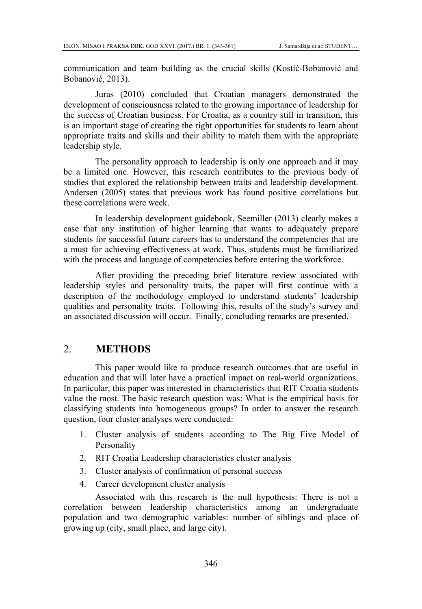communication and team building as the crucial skills (Kostić-Bobanović and Bobanović, 2013).

Juras (2010) concluded that Croatian managers demonstrated the development of consciousness related to the growing importance of leadership for the success of Croatian business. For Croatia, as a country still in transition, this is an important stage of creating the right opportunities for students to learn about appropriate traits and skills and their ability to match them with the appropriate leadership style.

The personality approach to leadership is only one approach and it may be a limited one. However, this research contributes to the previous body of studies that explored the relationship between traits and leadership development. Andersen (2005) states that previous work has found positive correlations but these correlations were week.

In leadership development guidebook, Seemiller (2013) clearly makes a case that any institution of higher learning that wants to adequately prepare students for successful future careers has to understand the competencies that are a must for achieving effectiveness at work. Thus, students must be familiarized with the process and language of competencies before entering the workforce.

After providing the preceding brief literature review associated with leadership styles and personality traits, the paper will first continue with a description of the methodology employed to understand students' leadership qualities and personality traits. Following this, results of the study's survey and an associated discussion will occur. Finally, concluding remarks are presented.

### 2. **METHODS**

This paper would like to produce research outcomes that are useful in education and that will later have a practical impact on real-world organizations. In particular, this paper was interested in characteristics that RIT Croatia students value the most. The basic research question was: What is the empirical basis for classifying students into homogeneous groups? In order to answer the research question, four cluster analyses were conducted:

- 1. Cluster analysis of students according to The Big Five Model of Personality
- 2. RIT Croatia Leadership characteristics cluster analysis
- 3. Cluster analysis of confirmation of personal success
- 4. Career development cluster analysis

Associated with this research is the null hypothesis: There is not a correlation between leadership characteristics among an undergraduate population and two demographic variables: number of siblings and place of growing up (city, small place, and large city).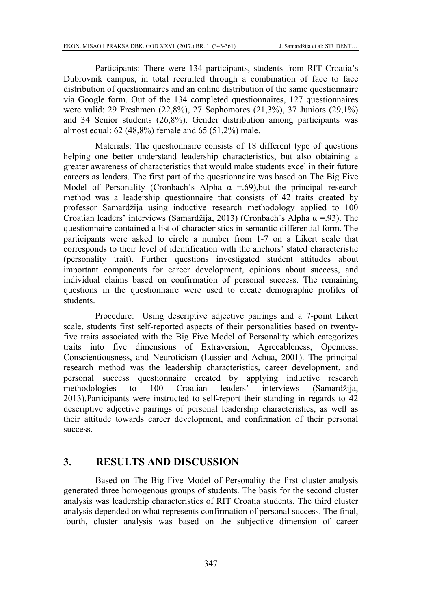Participants: There were 134 participants, students from RIT Croatia's Dubrovnik campus, in total recruited through a combination of face to face distribution of questionnaires and an online distribution of the same questionnaire via Google form. Out of the 134 completed questionnaires, 127 questionnaires were valid: 29 Freshmen (22,8%), 27 Sophomores (21,3%), 37 Juniors (29,1%) and 34 Senior students (26,8%). Gender distribution among participants was almost equal: 62 (48,8%) female and 65 (51,2%) male.

Materials: The questionnaire consists of 18 different type of questions helping one better understand leadership characteristics, but also obtaining a greater awareness of characteristics that would make students excel in their future careers as leaders. The first part of the questionnaire was based on The Big Five Model of Personality (Cronbach's Alpha  $\alpha$  =.69), but the principal research method was a leadership questionnaire that consists of 42 traits created by professor Samardžija using inductive research methodology applied to 100 Croatian leaders' interviews (Samardžija, 2013) (Cronbach´s Alpha  $\alpha$  =.93). The questionnaire contained a list of characteristics in semantic differential form. The participants were asked to circle a number from 1-7 on a Likert scale that corresponds to their level of identification with the anchors' stated characteristic (personality trait). Further questions investigated student attitudes about important components for career development, opinions about success, and individual claims based on confirmation of personal success. The remaining questions in the questionnaire were used to create demographic profiles of students.

Procedure: Using descriptive adjective pairings and a 7-point Likert scale, students first self-reported aspects of their personalities based on twentyfive traits associated with the Big Five Model of Personality which categorizes traits into five dimensions of Extraversion, Agreeableness, Openness, Conscientiousness, and Neuroticism (Lussier and Achua, 2001). The principal research method was the leadership characteristics, career development, and personal success questionnaire created by applying inductive research methodologies to 100 Croatian leaders' interviews (Samardžija, 2013).Participants were instructed to self-report their standing in regards to 42 descriptive adjective pairings of personal leadership characteristics, as well as their attitude towards career development, and confirmation of their personal success.

#### **3. RESULTS AND DISCUSSION**

Based on The Big Five Model of Personality the first cluster analysis generated three homogenous groups of students. The basis for the second cluster analysis was leadership characteristics of RIT Croatia students. The third cluster analysis depended on what represents confirmation of personal success. The final, fourth, cluster analysis was based on the subjective dimension of career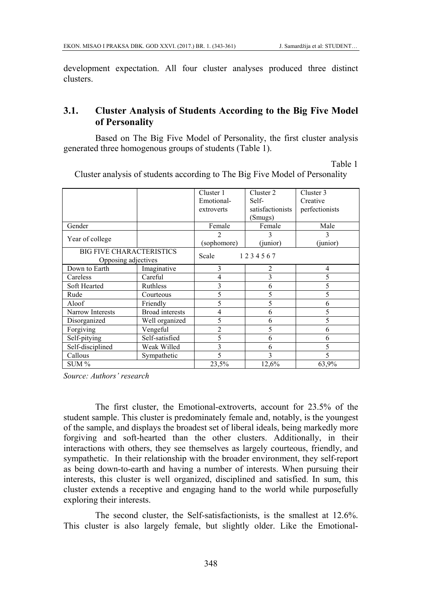development expectation. All four cluster analyses produced three distinct clusters.

### **3.1. Cluster Analysis of Students According to the Big Five Model of Personality**

Based on The Big Five Model of Personality, the first cluster analysis generated three homogenous groups of students (Table 1).

Table 1

|                                 |                        | Cluster 1      | Cluster 2        | Cluster 3      |
|---------------------------------|------------------------|----------------|------------------|----------------|
|                                 |                        | Emotional-     | Self-            | Creative       |
|                                 |                        | extroverts     | satisfactionists | perfectionists |
|                                 |                        |                | (Smugs)          |                |
| Gender                          |                        | Female         | Female           | Male           |
|                                 |                        | 2              | 3                | 3              |
| Year of college                 |                        | (sophomore)    | (junior)         | (junior)       |
| <b>BIG FIVE CHARACTERISTICS</b> |                        | Scale          | 1234567          |                |
| Opposing adjectives             |                        |                |                  |                |
| Down to Earth                   | Imaginative            | 3              | 2                | $\overline{4}$ |
| Careless                        | Careful                | 4              | 3                | 5              |
| Soft Hearted                    | Ruthless               | 3              | 6                | 5              |
| Rude                            | Courteous              | 5              | 5                | 5              |
| Aloof                           | Friendly               | 5              | 5                | 6              |
| Narrow Interests                | <b>Broad</b> interests | 4              | 6                | 5              |
| Disorganized                    | Well organized         | 5              | 6                | 5              |
| Forgiving                       | Vengeful               | $\overline{2}$ | 5                | 6              |
| Self-pitying                    | Self-satisfied         | 5              | 6                | 6              |
| Self-disciplined                | Weak Willed            | 3              | 6                | 5              |
| Callous                         | Sympathetic            | 5              | 3                | 5              |
| $SUM\%$                         |                        | 23,5%          | 12,6%            | 63,9%          |

Cluster analysis of students according to The Big Five Model of Personality

*Source: Authors' research* 

The first cluster, the Emotional-extroverts, account for 23.5% of the student sample. This cluster is predominately female and, notably, is the youngest of the sample, and displays the broadest set of liberal ideals, being markedly more forgiving and soft-hearted than the other clusters. Additionally, in their interactions with others, they see themselves as largely courteous, friendly, and sympathetic. In their relationship with the broader environment, they self-report as being down-to-earth and having a number of interests. When pursuing their interests, this cluster is well organized, disciplined and satisfied. In sum, this cluster extends a receptive and engaging hand to the world while purposefully exploring their interests.

The second cluster, the Self-satisfactionists, is the smallest at 12.6%. This cluster is also largely female, but slightly older. Like the Emotional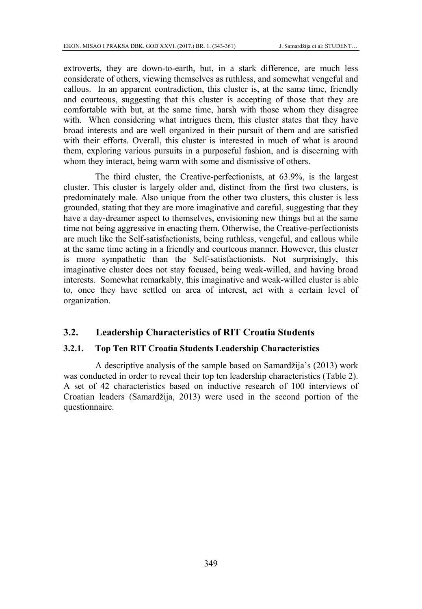extroverts, they are down-to-earth, but, in a stark difference, are much less considerate of others, viewing themselves as ruthless, and somewhat vengeful and callous. In an apparent contradiction, this cluster is, at the same time, friendly and courteous, suggesting that this cluster is accepting of those that they are comfortable with but, at the same time, harsh with those whom they disagree with. When considering what intrigues them, this cluster states that they have broad interests and are well organized in their pursuit of them and are satisfied with their efforts. Overall, this cluster is interested in much of what is around them, exploring various pursuits in a purposeful fashion, and is discerning with whom they interact, being warm with some and dismissive of others.

The third cluster, the Creative-perfectionists, at 63.9%, is the largest cluster. This cluster is largely older and, distinct from the first two clusters, is predominately male. Also unique from the other two clusters, this cluster is less grounded, stating that they are more imaginative and careful, suggesting that they have a day-dreamer aspect to themselves, envisioning new things but at the same time not being aggressive in enacting them. Otherwise, the Creative-perfectionists are much like the Self-satisfactionists, being ruthless, vengeful, and callous while at the same time acting in a friendly and courteous manner. However, this cluster is more sympathetic than the Self-satisfactionists. Not surprisingly, this imaginative cluster does not stay focused, being weak-willed, and having broad interests. Somewhat remarkably, this imaginative and weak-willed cluster is able to, once they have settled on area of interest, act with a certain level of organization.

#### **3.2. Leadership Characteristics of RIT Croatia Students**

#### **3.2.1. Top Ten RIT Croatia Students Leadership Characteristics**

A descriptive analysis of the sample based on Samardžija's (2013) work was conducted in order to reveal their top ten leadership characteristics (Table 2). A set of 42 characteristics based on inductive research of 100 interviews of Croatian leaders (Samardžija, 2013) were used in the second portion of the questionnaire.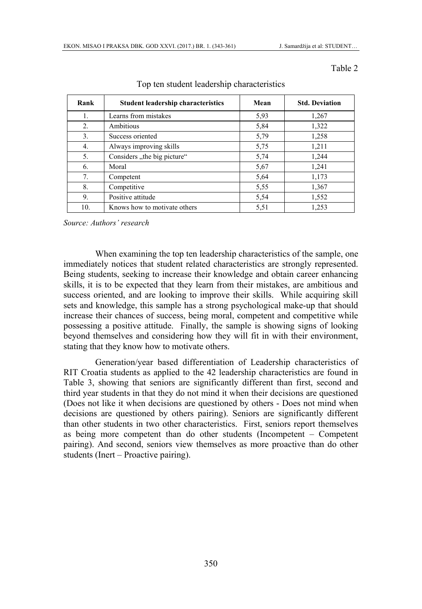Table 2

| Rank           | Student leadership characteristics | Mean | <b>Std. Deviation</b> |
|----------------|------------------------------------|------|-----------------------|
| 1.             | Learns from mistakes               | 5,93 | 1,267                 |
| 2.             | Ambitious                          | 5,84 | 1,322                 |
| 3 <sub>1</sub> | Success oriented                   | 5,79 | 1,258                 |
| 4.             | Always improving skills            | 5,75 | 1,211                 |
| 5.             | Considers "the big picture"        | 5,74 | 1,244                 |
| 6.             | Moral                              | 5,67 | 1,241                 |
| 7.             | Competent                          | 5,64 | 1,173                 |
| 8.             | Competitive                        | 5,55 | 1,367                 |
| 9.             | Positive attitude                  | 5,54 | 1,552                 |
| 10.            | Knows how to motivate others       | 5,51 | 1,253                 |

Top ten student leadership characteristics

*Source: Authors' research* 

When examining the top ten leadership characteristics of the sample, one immediately notices that student related characteristics are strongly represented. Being students, seeking to increase their knowledge and obtain career enhancing skills, it is to be expected that they learn from their mistakes, are ambitious and success oriented, and are looking to improve their skills. While acquiring skill sets and knowledge, this sample has a strong psychological make-up that should increase their chances of success, being moral, competent and competitive while possessing a positive attitude. Finally, the sample is showing signs of looking beyond themselves and considering how they will fit in with their environment, stating that they know how to motivate others.

Generation/year based differentiation of Leadership characteristics of RIT Croatia students as applied to the 42 leadership characteristics are found in Table 3, showing that seniors are significantly different than first, second and third year students in that they do not mind it when their decisions are questioned (Does not like it when decisions are questioned by others - Does not mind when decisions are questioned by others pairing). Seniors are significantly different than other students in two other characteristics. First, seniors report themselves as being more competent than do other students (Incompetent – Competent pairing). And second, seniors view themselves as more proactive than do other students (Inert – Proactive pairing).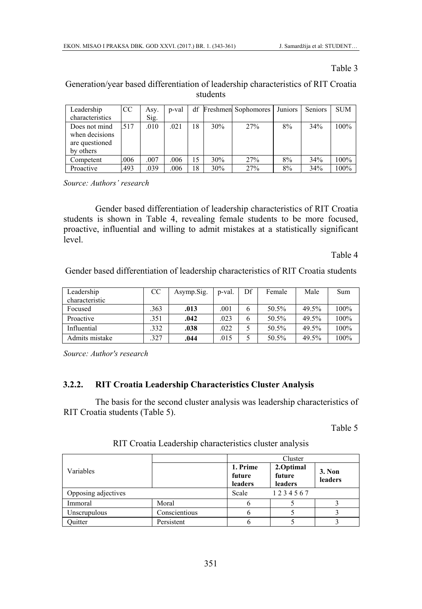#### Table 3

Generation/year based differentiation of leadership characteristics of RIT Croatia students

| Leadership      | CC   | Asy. | p-val |    |     | df Freshmen Sophomores | Juniors | Seniors | <b>SUM</b> |
|-----------------|------|------|-------|----|-----|------------------------|---------|---------|------------|
| characteristics |      | Sig. |       |    |     |                        |         |         |            |
| Does not mind   | 517  | .010 | .021  | 18 | 30% | 27%                    | 8%      | 34%     | 100%       |
| when decisions  |      |      |       |    |     |                        |         |         |            |
| are questioned  |      |      |       |    |     |                        |         |         |            |
| by others       |      |      |       |    |     |                        |         |         |            |
| Competent       | .006 | .007 | .006  | 15 | 30% | 27%                    | 8%      | 34%     | 100%       |
| Proactive       | 493  | .039 | .006  | 18 | 30% | 27%                    | 8%      | 34%     | 100%       |

*Source: Authors' research* 

Gender based differentiation of leadership characteristics of RIT Croatia students is shown in Table 4, revealing female students to be more focused, proactive, influential and willing to admit mistakes at a statistically significant level.

Table 4

Gender based differentiation of leadership characteristics of RIT Croatia students

| Leadership<br>characteristic | CC  | Asymp.Sig. | p-val. | Df | Female | Male  | Sum  |
|------------------------------|-----|------------|--------|----|--------|-------|------|
| Focused                      | 363 | .013       | .001   |    | 50.5%  | 49.5% | 100% |
| Proactive                    | 351 | .042       | .023   |    | 50.5%  | 49.5% | 100% |
| Influential                  | 332 | .038       | .022   |    | 50.5%  | 49.5% | 100% |
| Admits mistake               | 327 | .044       | .015   |    | 50.5%  | 49.5% | 100% |

*Source: Author's research* 

#### **3.2.2. RIT Croatia Leadership Characteristics Cluster Analysis**

The basis for the second cluster analysis was leadership characteristics of RIT Croatia students (Table 5).

Table 5

|                     |               | Cluster                       |                                |                   |  |  |
|---------------------|---------------|-------------------------------|--------------------------------|-------------------|--|--|
| Variables           |               | 1. Prime<br>future<br>leaders | 2.Optimal<br>future<br>leaders | 3. Non<br>leaders |  |  |
| Opposing adjectives |               | Scale                         | 1234567                        |                   |  |  |
| Immoral             | Moral         |                               |                                |                   |  |  |
| Unscrupulous        | Conscientious |                               |                                |                   |  |  |
| Ouitter             | Persistent    |                               |                                |                   |  |  |

RIT Croatia Leadership characteristics cluster analysis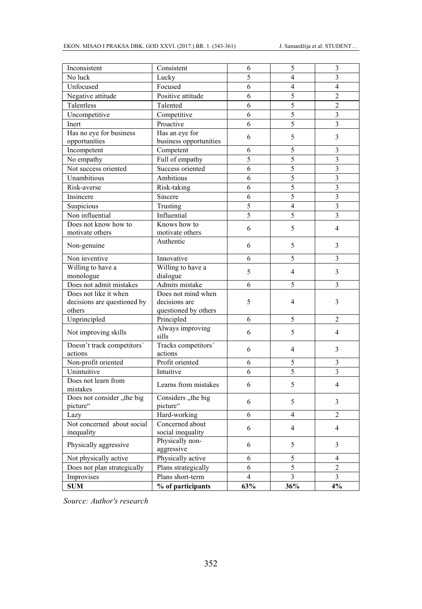| Inconsistent                | Consistent                     | 6              | 5                        | 3                        |
|-----------------------------|--------------------------------|----------------|--------------------------|--------------------------|
| No luck                     | Lucky                          | $\overline{5}$ | $\overline{\mathbf{4}}$  | $\overline{\mathbf{3}}$  |
| Unfocused                   | Focused                        | 6              | $\overline{4}$           | $\overline{4}$           |
| Negative attitude           | Positive attitude              | 6              | 5                        | $\overline{c}$           |
| Talentless                  | Talented                       | 6              | 5                        | $\overline{c}$           |
| Uncompetitive               | Competitive                    | 6              | $\overline{5}$           | $\overline{\mathbf{3}}$  |
| Inert                       | Proactive                      | 6              | 5                        | 3                        |
| Has no eye for business     | Has an eye for                 |                |                          |                          |
| opportunities               | business opportunities         | 6              | 5                        | 3                        |
| Incompetent                 | Competent                      | 6              | 5                        | 3                        |
| No empathy                  | Full of empathy                | 5              | 5                        | 3                        |
| Not success oriented        | Success oriented               | 6              | 5                        | 3                        |
| Unambitious                 | Ambitious                      | 6              | 5                        | $\overline{\mathbf{3}}$  |
| Risk-averse                 | Risk-taking                    | 6              | 5                        | 3                        |
| Insincere                   | Sincere                        | 6              | 5                        | 3                        |
| Suspicious                  | Trusting                       | $\overline{5}$ | $\overline{4}$           | $\overline{3}$           |
| Non influential             | Influential                    | $\overline{5}$ | 5                        | 3                        |
| Does not know how to        | Knows how to                   |                |                          |                          |
| motivate others             | motivate others                | 6              | 5                        | $\overline{\mathcal{L}}$ |
| Non-genuine                 | Authentic                      | 6              | 5                        | 3                        |
|                             |                                |                |                          |                          |
| Non inventive               | Innovative                     | 6              | 5                        | 3                        |
| Willing to have a           | Willing to have a              | 5              | 4                        | 3                        |
| monologue                   | dialogue                       |                |                          |                          |
| Does not admit mistakes     | Admits mistake                 | 6              | 5                        | $\overline{\mathbf{3}}$  |
| Does not like it when       | Does not mind when             |                |                          |                          |
| decisions are questioned by | decisions are                  | 5              | 4                        | 3                        |
| others<br>Unprincipled      | questioned by others           | 6              | 5                        | $\overline{2}$           |
|                             | Principled<br>Always improving |                |                          |                          |
| Not improving skills        | sills                          | 6              | 5                        | $\overline{4}$           |
| Doesn't track competitors'  | Tracks competitors'            |                |                          |                          |
| actions                     | actions                        | 6              | $\overline{4}$           | 3                        |
| Non-profit oriented         | Profit oriented                | 6              | 5                        | 3                        |
| Unintuitive                 | Intuitive                      | 6              | 5                        | 3                        |
| Does not learn from         |                                |                |                          |                          |
| mistakes                    | Learns from mistakes           | 6              | 5                        | $\overline{4}$           |
| Does not consider "the big  | Considers "the big             | 6              | 5                        | 3                        |
| picture"                    | picture"                       |                |                          |                          |
| Lazy                        | Hard-working                   | 6              | $\overline{\mathcal{L}}$ | $\overline{2}$           |
| Not concerned about social  | Concerned about                | 6              | $\overline{4}$           | $\overline{4}$           |
| inequality                  | social inequality              |                |                          |                          |
| Physically aggressive       | Physically non-                | 6              | 5                        | 3                        |
|                             | aggressive                     |                |                          |                          |
| Not physically active       | Physically active              | 6              | 5                        | $\overline{4}$           |
| Does not plan strategically | Plans strategically            | 6              | 5                        | $\overline{2}$           |
| Improvises                  | Plans short-term               | 4              | 3                        | $\overline{\mathbf{3}}$  |
| <b>SUM</b>                  | % of participants              | 63%            | 36%                      | 4%                       |

*Source: Author's research*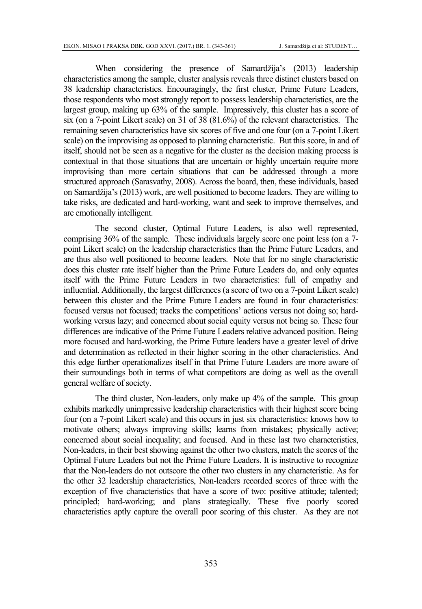When considering the presence of Samardžija's (2013) leadership characteristics among the sample, cluster analysis reveals three distinct clusters based on 38 leadership characteristics. Encouragingly, the first cluster, Prime Future Leaders, those respondents who most strongly report to possess leadership characteristics, are the largest group, making up 63% of the sample. Impressively, this cluster has a score of six (on a 7-point Likert scale) on 31 of 38 (81.6%) of the relevant characteristics. The remaining seven characteristics have six scores of five and one four (on a 7-point Likert scale) on the improvising as opposed to planning characteristic. But this score, in and of itself, should not be seen as a negative for the cluster as the decision making process is contextual in that those situations that are uncertain or highly uncertain require more improvising than more certain situations that can be addressed through a more structured approach (Sarasvathy, 2008). Across the board, then, these individuals, based on Samardžija's (2013) work, are well positioned to become leaders. They are willing to take risks, are dedicated and hard-working, want and seek to improve themselves, and are emotionally intelligent.

The second cluster, Optimal Future Leaders, is also well represented, comprising 36% of the sample. These individuals largely score one point less (on a 7 point Likert scale) on the leadership characteristics than the Prime Future Leaders, and are thus also well positioned to become leaders. Note that for no single characteristic does this cluster rate itself higher than the Prime Future Leaders do, and only equates itself with the Prime Future Leaders in two characteristics: full of empathy and influential. Additionally, the largest differences (a score of two on a 7-point Likert scale) between this cluster and the Prime Future Leaders are found in four characteristics: focused versus not focused; tracks the competitions' actions versus not doing so; hardworking versus lazy; and concerned about social equity versus not being so. These four differences are indicative of the Prime Future Leaders relative advanced position. Being more focused and hard-working, the Prime Future leaders have a greater level of drive and determination as reflected in their higher scoring in the other characteristics. And this edge further operationalizes itself in that Prime Future Leaders are more aware of their surroundings both in terms of what competitors are doing as well as the overall general welfare of society.

The third cluster, Non-leaders, only make up 4% of the sample. This group exhibits markedly unimpressive leadership characteristics with their highest score being four (on a 7-point Likert scale) and this occurs in just six characteristics: knows how to motivate others; always improving skills; learns from mistakes; physically active; concerned about social inequality; and focused. And in these last two characteristics, Non-leaders, in their best showing against the other two clusters, match the scores of the Optimal Future Leaders but not the Prime Future Leaders. It is instructive to recognize that the Non-leaders do not outscore the other two clusters in any characteristic. As for the other 32 leadership characteristics, Non-leaders recorded scores of three with the exception of five characteristics that have a score of two: positive attitude; talented; principled; hard-working; and plans strategically. These five poorly scored characteristics aptly capture the overall poor scoring of this cluster. As they are not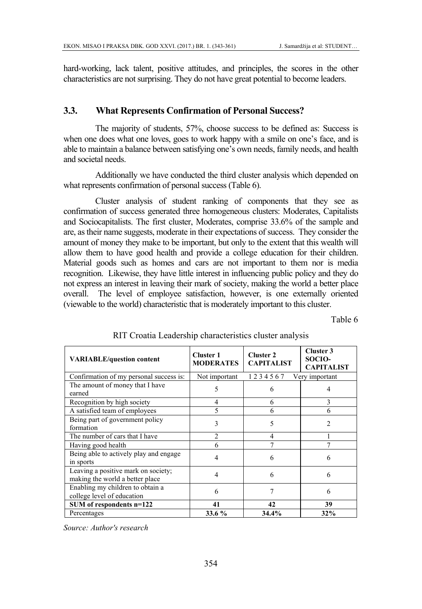hard-working, lack talent, positive attitudes, and principles, the scores in the other characteristics are not surprising. They do not have great potential to become leaders.

#### **3.3. What Represents Confirmation of Personal Success?**

The majority of students, 57%, choose success to be defined as: Success is when one does what one loves, goes to work happy with a smile on one's face, and is able to maintain a balance between satisfying one's own needs, family needs, and health and societal needs.

Additionally we have conducted the third cluster analysis which depended on what represents confirmation of personal success (Table 6).

Cluster analysis of student ranking of components that they see as confirmation of success generated three homogeneous clusters: Moderates, Capitalists and Sociocapitalists. The first cluster, Moderates, comprise 33.6% of the sample and are, as their name suggests, moderate in their expectations of success. They consider the amount of money they make to be important, but only to the extent that this wealth will allow them to have good health and provide a college education for their children. Material goods such as homes and cars are not important to them nor is media recognition. Likewise, they have little interest in influencing public policy and they do not express an interest in leaving their mark of society, making the world a better place overall. The level of employee satisfaction, however, is one externally oriented (viewable to the world) characteristic that is moderately important to this cluster.

Table 6

| <b>VARIABLE/question content</b>                                       | <b>Cluster 1</b><br><b>MODERATES</b> | <b>Cluster 2</b><br><b>CAPITALIST</b> | Cluster 3<br>SOCIO-<br><b>CAPITALIST</b> |
|------------------------------------------------------------------------|--------------------------------------|---------------------------------------|------------------------------------------|
| Confirmation of my personal success is:                                | Not important                        | 1234567                               | Very important                           |
| The amount of money that I have<br>earned                              | 5                                    | 6                                     |                                          |
| Recognition by high society                                            | $\overline{4}$                       | 6                                     | 3                                        |
| A satisfied team of employees                                          | 5                                    | 6                                     | 6                                        |
| Being part of government policy<br>formation                           | 3                                    | 5                                     | $\mathfrak{D}$                           |
| The number of cars that I have                                         | 2                                    | 4                                     |                                          |
| Having good health                                                     | 6                                    |                                       |                                          |
| Being able to actively play and engage<br>in sports                    | 4                                    | 6                                     | 6                                        |
| Leaving a positive mark on society;<br>making the world a better place | 4                                    | 6                                     | 6                                        |
| Enabling my children to obtain a<br>college level of education         | 6                                    |                                       | 6                                        |
| SUM of respondents n=122                                               | 41                                   | 42                                    | 39                                       |
| Percentages                                                            | 33.6 %                               | 34.4%                                 | 32%                                      |

#### RIT Croatia Leadership characteristics cluster analysis

*Source: Author's research*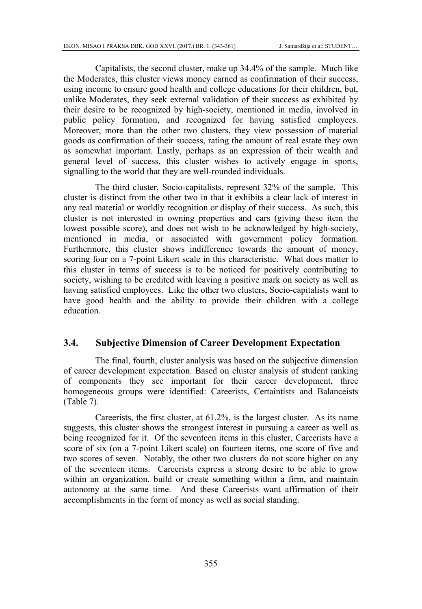Capitalists, the second cluster, make up 34.4% of the sample. Much like the Moderates, this cluster views money earned as confirmation of their success, using income to ensure good health and college educations for their children, but, unlike Moderates, they seek external validation of their success as exhibited by their desire to be recognized by high-society, mentioned in media, involved in public policy formation, and recognized for having satisfied employees. Moreover, more than the other two clusters, they view possession of material goods as confirmation of their success, rating the amount of real estate they own as somewhat important. Lastly, perhaps as an expression of their wealth and general level of success, this cluster wishes to actively engage in sports, signalling to the world that they are well-rounded individuals.

The third cluster, Socio-capitalists, represent 32% of the sample. This cluster is distinct from the other two in that it exhibits a clear lack of interest in any real material or worldly recognition or display of their success. As such, this cluster is not interested in owning properties and cars (giving these item the lowest possible score), and does not wish to be acknowledged by high-society, mentioned in media, or associated with government policy formation. Furthermore, this cluster shows indifference towards the amount of money, scoring four on a 7-point Likert scale in this characteristic. What does matter to this cluster in terms of success is to be noticed for positively contributing to society, wishing to be credited with leaving a positive mark on society as well as having satisfied employees. Like the other two clusters, Socio-capitalists want to have good health and the ability to provide their children with a college education.

#### **3.4. Subjective Dimension of Career Development Expectation**

The final, fourth, cluster analysis was based on the subjective dimension of career development expectation. Based on cluster analysis of student ranking of components they see important for their career development, three homogeneous groups were identified: Careerists, Certaintists and Balanceists (Table 7).

Careerists, the first cluster, at 61.2%, is the largest cluster. As its name suggests, this cluster shows the strongest interest in pursuing a career as well as being recognized for it. Of the seventeen items in this cluster, Careerists have a score of six (on a 7-point Likert scale) on fourteen items, one score of five and two scores of seven. Notably, the other two clusters do not score higher on any of the seventeen items. Careerists express a strong desire to be able to grow within an organization, build or create something within a firm, and maintain autonomy at the same time. And these Careerists want affirmation of their accomplishments in the form of money as well as social standing.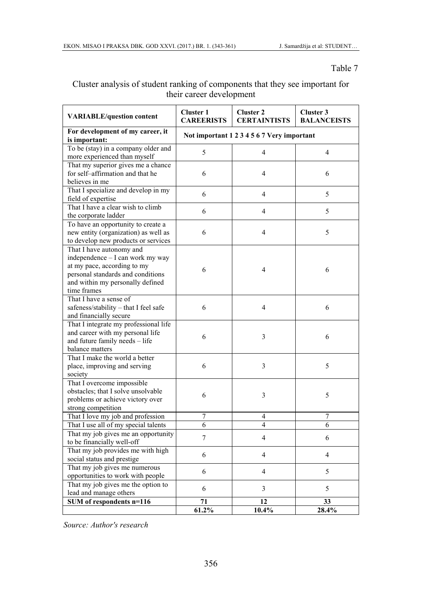#### Table 7

| Cluster analysis of student ranking of components that they see important for |  |                          |  |  |  |
|-------------------------------------------------------------------------------|--|--------------------------|--|--|--|
|                                                                               |  | their career development |  |  |  |

| <b>VARIABLE/question content</b>                                                                                                                                                    | <b>Cluster 1</b><br><b>CAREERISTS</b>      | <b>Cluster 2</b><br><b>CERTAINTISTS</b> | Cluster 3<br><b>BALANCEISTS</b> |  |  |
|-------------------------------------------------------------------------------------------------------------------------------------------------------------------------------------|--------------------------------------------|-----------------------------------------|---------------------------------|--|--|
| For development of my career, it<br>is important:                                                                                                                                   | Not important 1 2 3 4 5 6 7 Very important |                                         |                                 |  |  |
| To be (stay) in a company older and<br>more experienced than myself                                                                                                                 | 5                                          | 4                                       | 4                               |  |  |
| That my superior gives me a chance<br>for self-affirmation and that he<br>believes in me                                                                                            | 6                                          | 4                                       | 6                               |  |  |
| That I specialize and develop in my<br>field of expertise                                                                                                                           | 6                                          | 4                                       | 5                               |  |  |
| That I have a clear wish to climb<br>the corporate ladder                                                                                                                           | 6                                          | 4                                       | 5                               |  |  |
| To have an opportunity to create a<br>new entity (organization) as well as<br>to develop new products or services                                                                   | 6                                          | 4                                       | 5                               |  |  |
| That I have autonomy and<br>independence - I can work my way<br>at my pace, according to my<br>personal standards and conditions<br>and within my personally defined<br>time frames | 6                                          | 4                                       | 6                               |  |  |
| That I have a sense of<br>safeness/stability - that I feel safe<br>and financially secure                                                                                           | 6                                          | $\overline{\mathbf{4}}$                 | 6                               |  |  |
| That I integrate my professional life<br>and career with my personal life<br>and future family needs - life<br>balance matters                                                      | 6                                          | 3                                       | 6                               |  |  |
| That I make the world a better<br>place, improving and serving<br>society                                                                                                           | 6                                          | 3                                       | 5                               |  |  |
| That I overcome impossible<br>obstacles; that I solve unsolvable<br>problems or achieve victory over<br>strong competition                                                          | 6                                          | 3                                       | 5                               |  |  |
| That I love my job and profession                                                                                                                                                   | 7                                          | 4                                       | 7                               |  |  |
| That I use all of my special talents                                                                                                                                                | 6                                          | 4                                       | 6                               |  |  |
| That my job gives me an opportunity<br>to be financially well-off                                                                                                                   | $\tau$                                     | 4                                       | 6                               |  |  |
| That my job provides me with high<br>social status and prestige                                                                                                                     | 6                                          | 4                                       | $\overline{4}$                  |  |  |
| That my job gives me numerous<br>opportunities to work with people                                                                                                                  | 6                                          | 4                                       | 5                               |  |  |
| That my job gives me the option to<br>lead and manage others                                                                                                                        | 6                                          | 3                                       | 5                               |  |  |
| SUM of respondents n=116                                                                                                                                                            | 71                                         | 12                                      | 33                              |  |  |
|                                                                                                                                                                                     | 61.2%                                      | 10.4%                                   | 28.4%                           |  |  |

*Source: Author's research*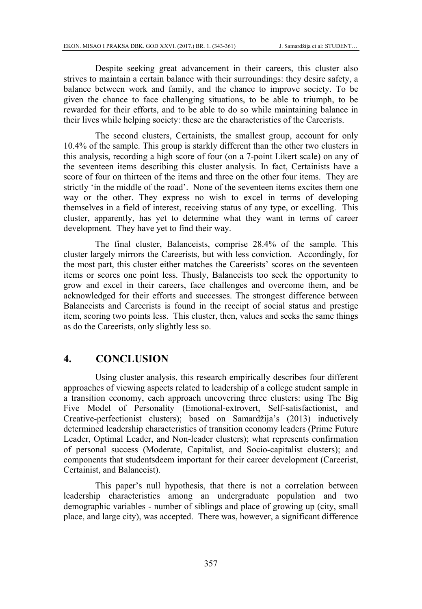Despite seeking great advancement in their careers, this cluster also strives to maintain a certain balance with their surroundings: they desire safety, a balance between work and family, and the chance to improve society. To be given the chance to face challenging situations, to be able to triumph, to be rewarded for their efforts, and to be able to do so while maintaining balance in their lives while helping society: these are the characteristics of the Careerists.

The second clusters, Certainists, the smallest group, account for only 10.4% of the sample. This group is starkly different than the other two clusters in this analysis, recording a high score of four (on a 7-point Likert scale) on any of the seventeen items describing this cluster analysis. In fact, Certainists have a score of four on thirteen of the items and three on the other four items. They are strictly 'in the middle of the road'. None of the seventeen items excites them one way or the other. They express no wish to excel in terms of developing themselves in a field of interest, receiving status of any type, or excelling. This cluster, apparently, has yet to determine what they want in terms of career development. They have yet to find their way.

The final cluster, Balanceists, comprise 28.4% of the sample. This cluster largely mirrors the Careerists, but with less conviction. Accordingly, for the most part, this cluster either matches the Careerists' scores on the seventeen items or scores one point less. Thusly, Balanceists too seek the opportunity to grow and excel in their careers, face challenges and overcome them, and be acknowledged for their efforts and successes. The strongest difference between Balanceists and Careerists is found in the receipt of social status and prestige item, scoring two points less. This cluster, then, values and seeks the same things as do the Careerists, only slightly less so.

#### **4. CONCLUSION**

Using cluster analysis, this research empirically describes four different approaches of viewing aspects related to leadership of a college student sample in a transition economy, each approach uncovering three clusters: using The Big Five Model of Personality (Emotional-extrovert, Self-satisfactionist, and Creative-perfectionist clusters); based on Samardžija's (2013) inductively determined leadership characteristics of transition economy leaders (Prime Future Leader, Optimal Leader, and Non-leader clusters); what represents confirmation of personal success (Moderate, Capitalist, and Socio-capitalist clusters); and components that studentsdeem important for their career development (Careerist, Certainist, and Balanceist).

This paper's null hypothesis, that there is not a correlation between leadership characteristics among an undergraduate population and two demographic variables - number of siblings and place of growing up (city, small place, and large city), was accepted. There was, however, a significant difference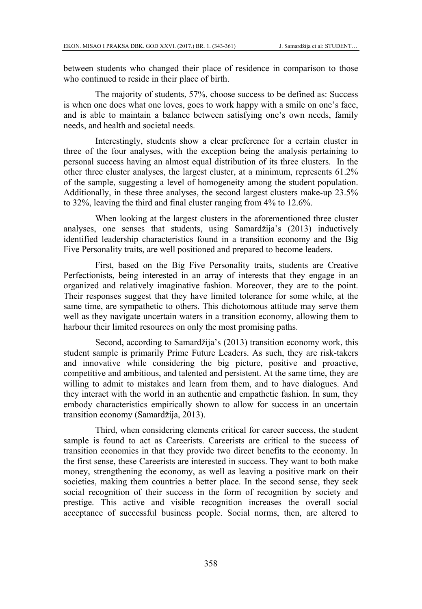between students who changed their place of residence in comparison to those who continued to reside in their place of birth.

The majority of students, 57%, choose success to be defined as: Success is when one does what one loves, goes to work happy with a smile on one's face, and is able to maintain a balance between satisfying one's own needs, family needs, and health and societal needs.

Interestingly, students show a clear preference for a certain cluster in three of the four analyses, with the exception being the analysis pertaining to personal success having an almost equal distribution of its three clusters. In the other three cluster analyses, the largest cluster, at a minimum, represents 61.2% of the sample, suggesting a level of homogeneity among the student population. Additionally, in these three analyses, the second largest clusters make-up 23.5% to 32%, leaving the third and final cluster ranging from 4% to 12.6%.

When looking at the largest clusters in the aforementioned three cluster analyses, one senses that students, using Samardžija's (2013) inductively identified leadership characteristics found in a transition economy and the Big Five Personality traits, are well positioned and prepared to become leaders.

First, based on the Big Five Personality traits, students are Creative Perfectionists, being interested in an array of interests that they engage in an organized and relatively imaginative fashion. Moreover, they are to the point. Their responses suggest that they have limited tolerance for some while, at the same time, are sympathetic to others. This dichotomous attitude may serve them well as they navigate uncertain waters in a transition economy, allowing them to harbour their limited resources on only the most promising paths.

Second, according to Samardžija's (2013) transition economy work, this student sample is primarily Prime Future Leaders. As such, they are risk-takers and innovative while considering the big picture, positive and proactive, competitive and ambitious, and talented and persistent. At the same time, they are willing to admit to mistakes and learn from them, and to have dialogues. And they interact with the world in an authentic and empathetic fashion. In sum, they embody characteristics empirically shown to allow for success in an uncertain transition economy (Samardžija, 2013).

Third, when considering elements critical for career success, the student sample is found to act as Careerists. Careerists are critical to the success of transition economies in that they provide two direct benefits to the economy. In the first sense, these Careerists are interested in success. They want to both make money, strengthening the economy, as well as leaving a positive mark on their societies, making them countries a better place. In the second sense, they seek social recognition of their success in the form of recognition by society and prestige. This active and visible recognition increases the overall social acceptance of successful business people. Social norms, then, are altered to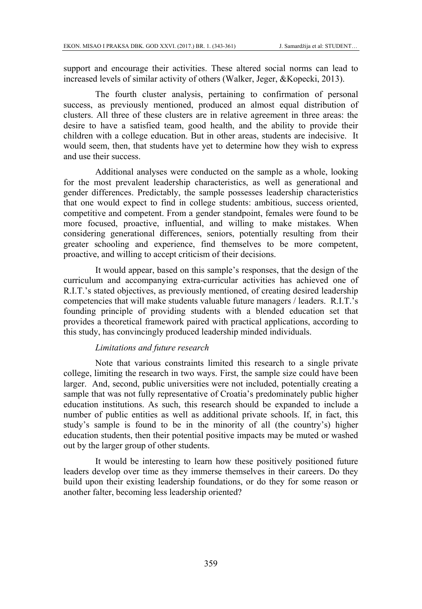support and encourage their activities. These altered social norms can lead to increased levels of similar activity of others (Walker, Jeger, &Kopecki, 2013).

The fourth cluster analysis, pertaining to confirmation of personal success, as previously mentioned, produced an almost equal distribution of clusters. All three of these clusters are in relative agreement in three areas: the desire to have a satisfied team, good health, and the ability to provide their children with a college education. But in other areas, students are indecisive. It would seem, then, that students have yet to determine how they wish to express and use their success.

Additional analyses were conducted on the sample as a whole, looking for the most prevalent leadership characteristics, as well as generational and gender differences. Predictably, the sample possesses leadership characteristics that one would expect to find in college students: ambitious, success oriented, competitive and competent. From a gender standpoint, females were found to be more focused, proactive, influential, and willing to make mistakes. When considering generational differences, seniors, potentially resulting from their greater schooling and experience, find themselves to be more competent, proactive, and willing to accept criticism of their decisions.

It would appear, based on this sample's responses, that the design of the curriculum and accompanying extra-curricular activities has achieved one of R.I.T.'s stated objectives, as previously mentioned, of creating desired leadership competencies that will make students valuable future managers / leaders. R.I.T.'s founding principle of providing students with a blended education set that provides a theoretical framework paired with practical applications, according to this study, has convincingly produced leadership minded individuals.

#### *Limitations and future research*

Note that various constraints limited this research to a single private college, limiting the research in two ways. First, the sample size could have been larger. And, second, public universities were not included, potentially creating a sample that was not fully representative of Croatia's predominately public higher education institutions. As such, this research should be expanded to include a number of public entities as well as additional private schools. If, in fact, this study's sample is found to be in the minority of all (the country's) higher education students, then their potential positive impacts may be muted or washed out by the larger group of other students.

It would be interesting to learn how these positively positioned future leaders develop over time as they immerse themselves in their careers. Do they build upon their existing leadership foundations, or do they for some reason or another falter, becoming less leadership oriented?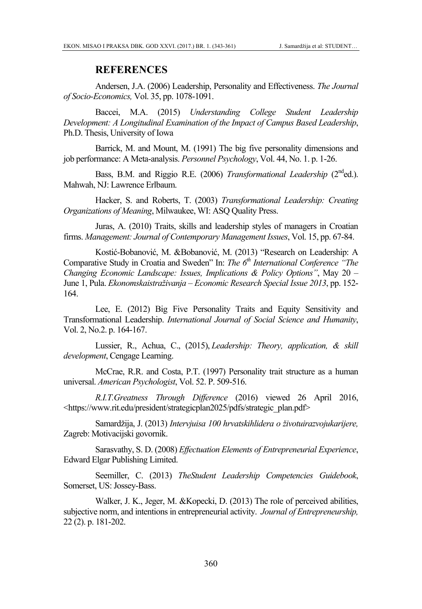#### **REFERENCES**

Andersen, J.A. (2006) Leadership, Personality and Effectiveness. *The Journal of Socio-Economics,* Vol. 35, pp. 1078-1091.

Baccei, M.A. (2015) *Understanding College Student Leadership Development: A Longitudinal Examination of the Impact of Campus Based Leadership*, Ph.D. Thesis, University of Iowa

Barrick, M. and Mount, M. (1991) The big five personality dimensions and job performance: A Meta-analysis. *Personnel Psychology*, Vol. 44, No. 1. p. 1-26.

Bass, B.M. and Riggio R.E. (2006) *Transformational Leadership* (2<sup>nd</sup>ed.). Mahwah, NJ: Lawrence Erlbaum.

Hacker, S. and Roberts, T. (2003) *Transformational Leadership: Creating Organizations of Meaning*, Milwaukee, WI: ASQ Quality Press.

Juras, A. (2010) Traits, skills and leadership styles of managers in Croatian firms. *Management: Journal of Contemporary Management Issues*, Vol. 15, pp. 67-84.

Kostić-Bobanović, M. &Bobanović, M. (2013) "Research on Leadership: A Comparative Study in Croatia and Sweden" In: *The 6<sup>th</sup> International Conference* "The *Changing Economic Landscape: Issues, Implications & Policy Options"*, May 20 – June 1, Pula. *Ekonomskaistraživanja – Economic Research Special Issue 2013*, pp. 152- 164.

Lee, E. (2012) Big Five Personality Traits and Equity Sensitivity and Transformational Leadership. *International Journal of Social Science and Humanity*, Vol. 2, No.2. p. 164-167.

Lussier, R., Achua, C., (2015), *Leadership: Theory, application, & skill development*, Cengage Learning.

McCrae, R.R. and Costa, P.T. (1997) Personality trait structure as a human universal. *American Psychologist*, Vol. 52. P. 509-516.

*R.I.T.Greatness Through Difference* (2016) viewed 26 April 2016, <https://www.rit.edu/president/strategicplan2025/pdfs/strategic\_plan.pdf>

Samardžija, J. (2013) *Intervjuisa 100 hrvatskihlidera o životuirazvojukarijere,* Zagreb: Motivacijski govornik.

Sarasvathy, S. D. (2008) *Effectuation Elements of Entrepreneurial Experience*, Edward Elgar Publishing Limited.

Seemiller, C. (2013) *TheStudent Leadership Competencies Guidebook*, Somerset, US: Jossey-Bass.

Walker, J. K., Jeger, M. &Kopecki, D. (2013) The role of perceived abilities, subjective norm, and intentions in entrepreneurial activity. *Journal of Entrepreneurship,* 22 (2). p. 181-202.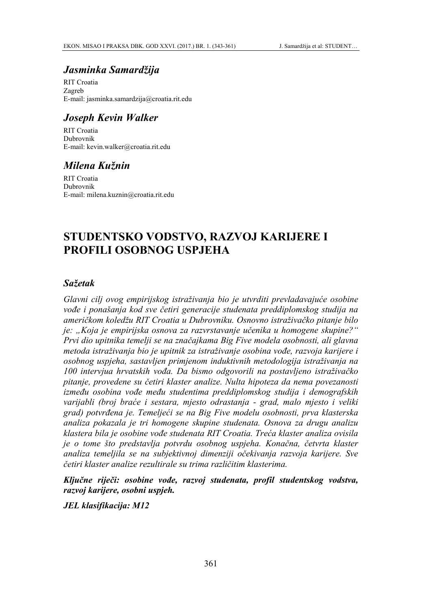### *Jasminka Samardžija*

RIT Croatia Zagreb E-mail: jasminka.samardzija@croatia.rit.edu

### *Joseph Kevin Walker*

RIT Croatia Dubrovnik E-mail: kevin.walker@croatia.rit.edu

### *Milena Kužnin*

RIT Croatia Dubrovnik E-mail: milena.kuznin@croatia.rit.edu

## **STUDENTSKO VODSTVO, RAZVOJ KARIJERE I PROFILI OSOBNOG USPJEHA**

#### *Sažetak*

*Glavni cilj ovog empirijskog istraživanja bio je utvrditi prevladavajuće osobine vođe i ponašanja kod sve četiri generacije studenata preddiplomskog studija na američkom koledžu RIT Croatia u Dubrovniku. Osnovno istraživačko pitanje bilo je: "Koja je empirijska osnova za razvrstavanje učenika u homogene skupine?" Prvi dio upitnika temelji se na značajkama Big Five modela osobnosti, ali glavna metoda istraživanja bio je upitnik za istraživanje osobina vođe, razvoja karijere i osobnog uspjeha, sastavljen primjenom induktivnih metodologija istraživanja na 100 intervjua hrvatskih vođa. Da bismo odgovorili na postavljeno istraživačko pitanje, provedene su četiri klaster analize. Nulta hipoteza da nema povezanosti između osobina vođe među studentima preddiplomskog studija i demografskih varijabli (broj braće i sestara, mjesto odrastanja - grad, malo mjesto i veliki grad) potvrđena je. Temeljeći se na Big Five modelu osobnosti, prva klasterska analiza pokazala je tri homogene skupine studenata. Osnova za drugu analizu klastera bila je osobine vođe studenata RIT Croatia. Treća klaster analiza ovisila je o tome što predstavlja potvrdu osobnog uspjeha. Konačna, četvrta klaster analiza temeljila se na subjektivnoj dimenziji očekivanja razvoja karijere. Sve četiri klaster analize rezultirale su trima različitim klasterima.* 

*Ključne riječi: osobine vođe, razvoj studenata, profil studentskog vodstva, razvoj karijere, osobni uspjeh.* 

*JEL klasifikacija: M12*